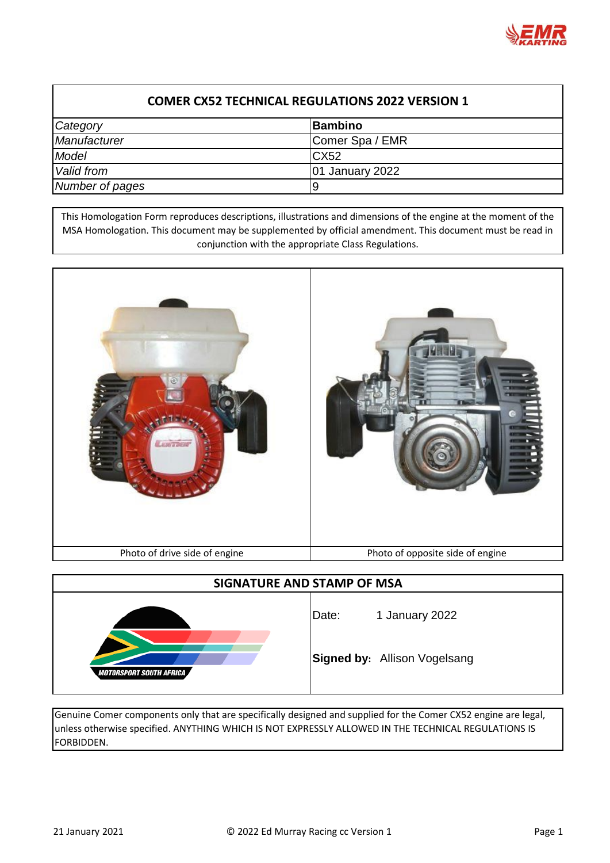

| <b>COMER CX52 TECHNICAL REGULATIONS 2022 VERSION 1</b> |                        |  |
|--------------------------------------------------------|------------------------|--|
| Category                                               | Bambino                |  |
| <b>Manufacturer</b>                                    | Comer Spa / EMR        |  |
| Model                                                  | C <sub>X52</sub>       |  |
| Valid from                                             | <b>01 January 2022</b> |  |
| Number of pages                                        | l9                     |  |

This Homologation Form reproduces descriptions, illustrations and dimensions of the engine at the moment of the MSA Homologation. This document may be supplemented by official amendment. This document must be read in conjunction with the appropriate Class Regulations.



| SIGNATURE AND STAMP OF MSA     |       |                                     |  |
|--------------------------------|-------|-------------------------------------|--|
|                                | Date: | 1 January 2022                      |  |
| <b>MOTORSPORT SOUTH AFRICA</b> |       | <b>Signed by: Allison Vogelsang</b> |  |

Genuine Comer components only that are specifically designed and supplied for the Comer CX52 engine are legal, unless otherwise specified. ANYTHING WHICH IS NOT EXPRESSLY ALLOWED IN THE TECHNICAL REGULATIONS IS FORBIDDEN.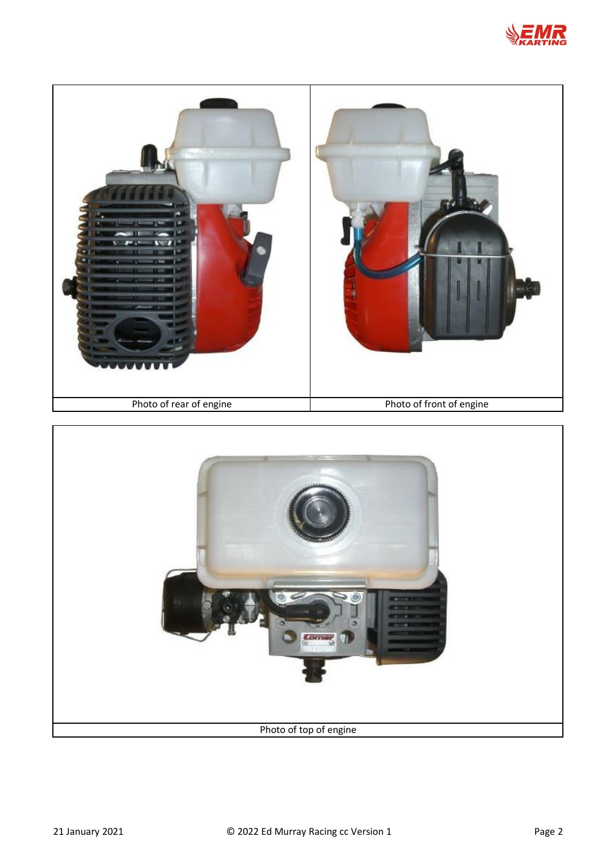



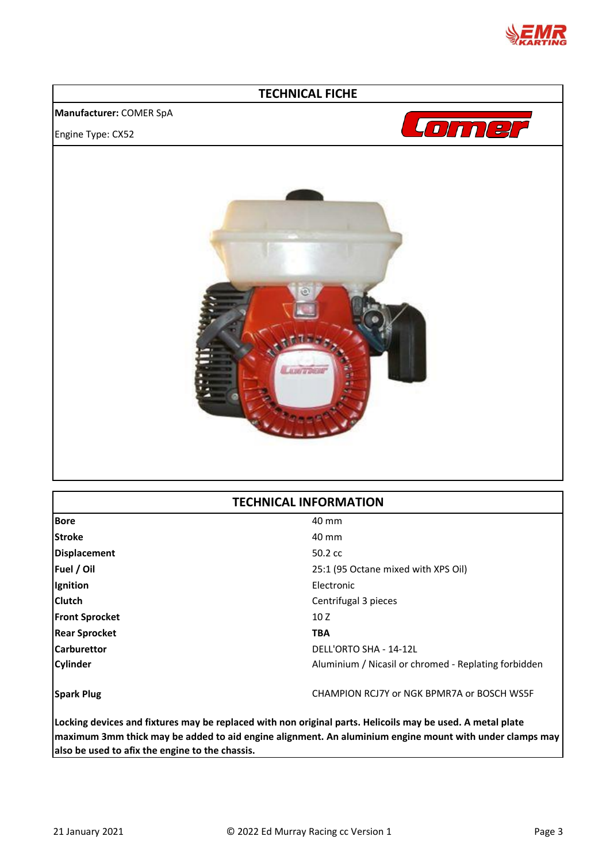

## **TECHNICAL FICHE**

## **Manufacturer:** COMER SpA

Engine Type: CX52





## **TECHNICAL INFORMATION**

| <b>Bore</b>           | 40 mm                                                |
|-----------------------|------------------------------------------------------|
| <b>Stroke</b>         | 40 mm                                                |
| <b>Displacement</b>   | $50.2 \text{ cc}$                                    |
| Fuel / Oil            | 25:1 (95 Octane mixed with XPS Oil)                  |
| Ignition              | Electronic                                           |
| <b>Clutch</b>         | Centrifugal 3 pieces                                 |
| <b>Front Sprocket</b> | 10 Z                                                 |
| <b>Rear Sprocket</b>  | <b>TBA</b>                                           |
| <b>Carburettor</b>    | DELL'ORTO SHA - 14-12L                               |
| <b>Cylinder</b>       | Aluminium / Nicasil or chromed - Replating forbidden |
|                       |                                                      |
| <b>Spark Plug</b>     | CHAMPION RCJ7Y or NGK BPMR7A or BOSCH WS5F           |
|                       |                                                      |

**Locking devices and fixtures may be replaced with non original parts. Helicoils may be used. A metal plate maximum 3mm thick may be added to aid engine alignment. An aluminium engine mount with under clamps may also be used to afix the engine to the chassis.**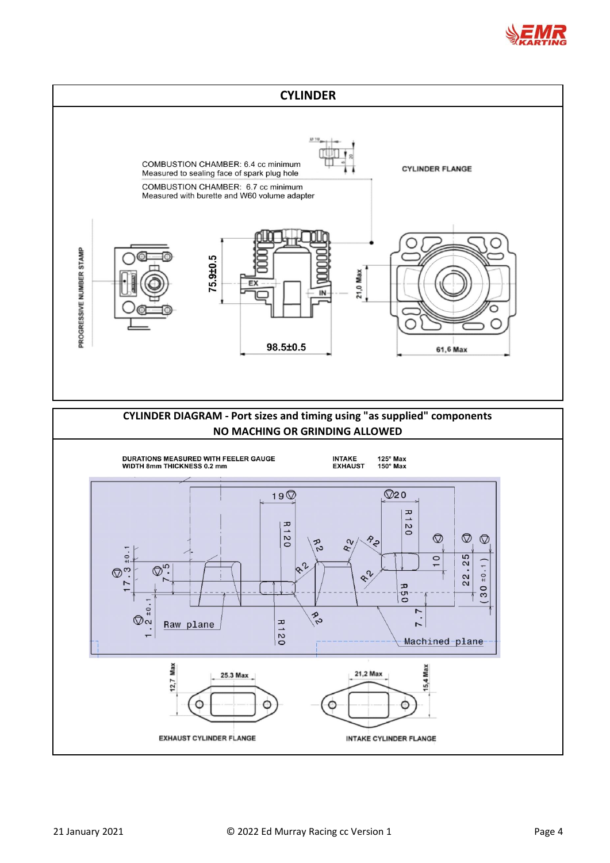

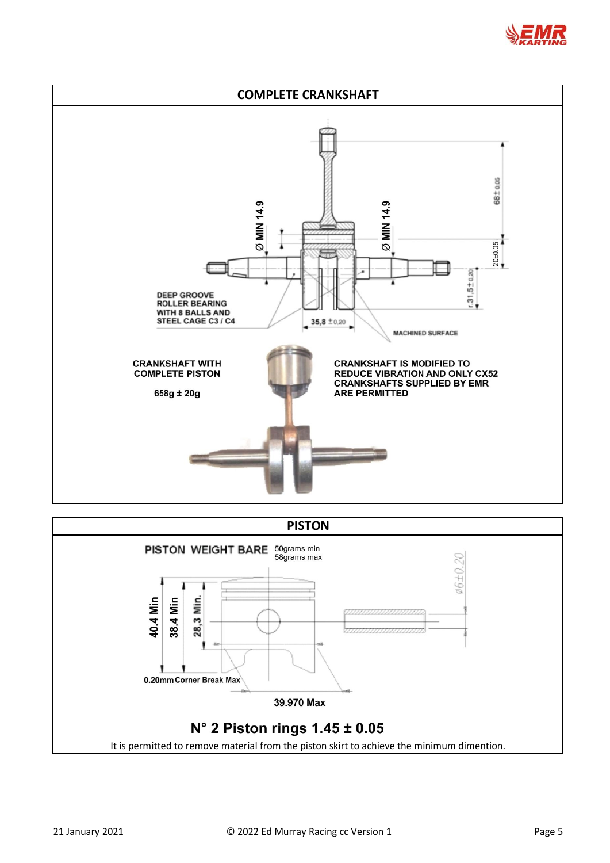



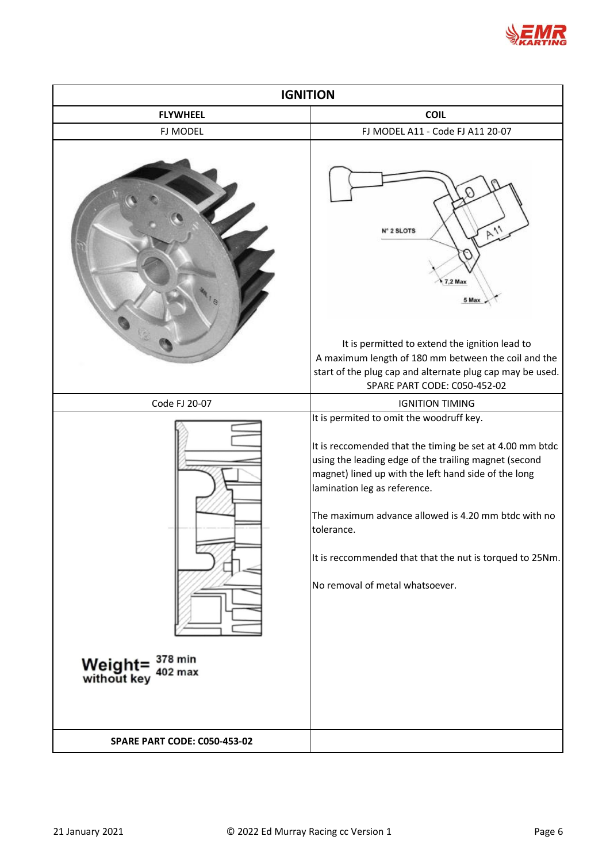

| <b>IGNITION</b>                                              |                                                                                                                                                                                                                                                                                                                                                                                                                           |  |  |
|--------------------------------------------------------------|---------------------------------------------------------------------------------------------------------------------------------------------------------------------------------------------------------------------------------------------------------------------------------------------------------------------------------------------------------------------------------------------------------------------------|--|--|
| <b>FLYWHEEL</b>                                              | <b>COIL</b>                                                                                                                                                                                                                                                                                                                                                                                                               |  |  |
| FJ MODEL                                                     | FJ MODEL A11 - Code FJ A11 20-07                                                                                                                                                                                                                                                                                                                                                                                          |  |  |
|                                                              | $P_{11}$<br>I <sup>e</sup> 2 SLOTS<br><b>7,2 Max</b><br>5 Max<br>It is permitted to extend the ignition lead to                                                                                                                                                                                                                                                                                                           |  |  |
|                                                              | A maximum length of 180 mm between the coil and the<br>start of the plug cap and alternate plug cap may be used.                                                                                                                                                                                                                                                                                                          |  |  |
|                                                              | SPARE PART CODE: C050-452-02                                                                                                                                                                                                                                                                                                                                                                                              |  |  |
| Code FJ 20-07                                                | <b>IGNITION TIMING</b>                                                                                                                                                                                                                                                                                                                                                                                                    |  |  |
| Weight= $\frac{378 \text{ min}}{402 \text{ max}}$<br>402 max | It is permited to omit the woodruff key.<br>It is reccomended that the timing be set at 4.00 mm btdc<br>using the leading edge of the trailing magnet (second<br>magnet) lined up with the left hand side of the long<br>lamination leg as reference.<br>The maximum advance allowed is 4.20 mm btdc with no<br>tolerance.<br>It is reccommended that that the nut is torqued to 25Nm.<br>No removal of metal whatsoever. |  |  |
| <b>SPARE PART CODE: C050-453-02</b>                          |                                                                                                                                                                                                                                                                                                                                                                                                                           |  |  |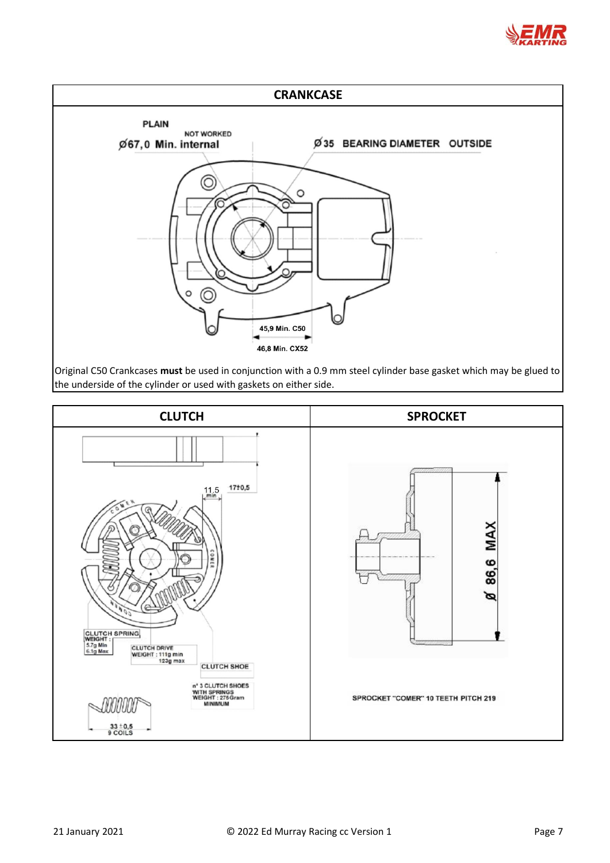



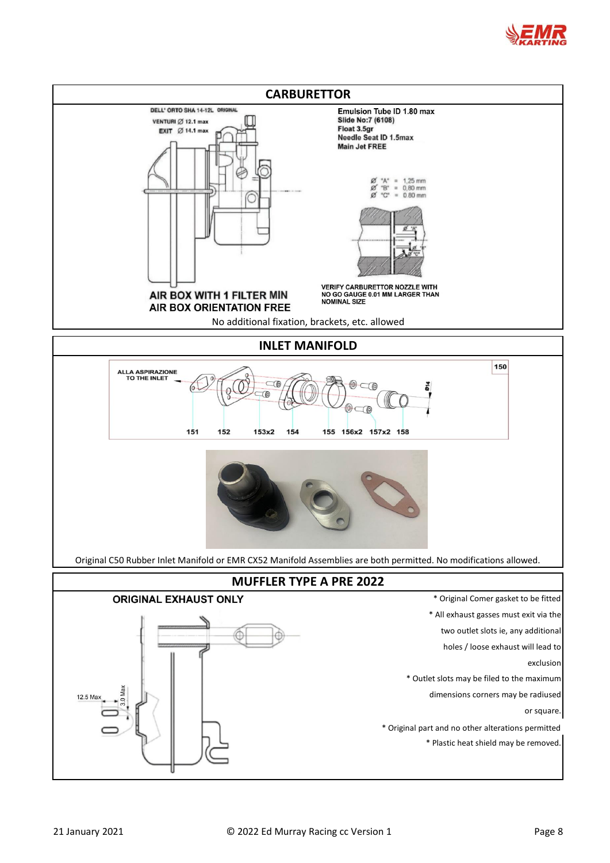